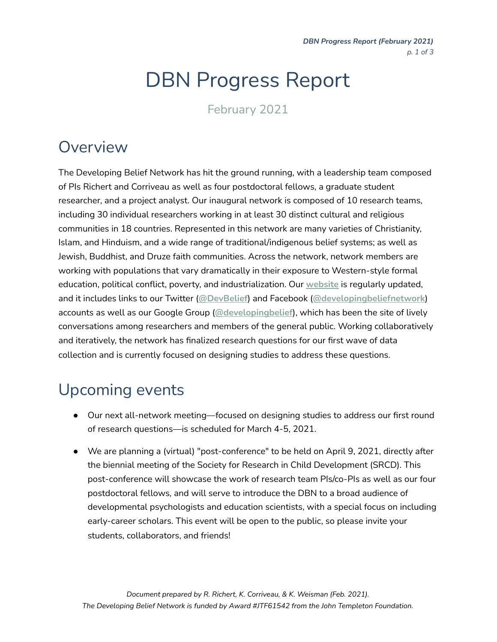*DBN Progress Report (February 2021) p. 1 of 3*

# DBN Progress Report

February 2021

## Overview

The Developing Belief Network has hit the ground running, with a leadership team composed of PIs Richert and Corriveau as well as four postdoctoral fellows, a graduate student researcher, and a project analyst. Our inaugural network is composed of 10 research teams, including 30 individual researchers working in at least 30 distinct cultural and religious communities in 18 countries. Represented in this network are many varieties of Christianity, Islam, and Hinduism, and a wide range of traditional/indigenous belief systems; as well as Jewish, Buddhist, and Druze faith communities. Across the network, network members are working with populations that vary dramatically in their exposure to Western-style formal education, political conflict, poverty, and industrialization. Our **[website](https://www.developingbelief.com/)** is regularly updated, and it includes links to our Twitter (**[@DevBelief](https://twitter.com/DevBelief)**) and Facebook (**[@developingbeliefnetwork](https://www.facebook.com/developingbeliefnetwork)**) accounts as well as our Google Group (**[@developingbelief](https://groups.google.com/g/developingbelief)**), which has been the site of lively conversations among researchers and members of the general public. Working collaboratively and iteratively, the network has finalized research questions for our first wave of data collection and is currently focused on designing studies to address these questions.

# Upcoming events

- Our next all-network meeting—focused on designing studies to address our first round of research questions—is scheduled for March 4-5, 2021.
- We are planning a (virtual) "post-conference" to be held on April 9, 2021, directly after the biennial meeting of the Society for Research in Child Development (SRCD). This post-conference will showcase the work of research team PIs/co-PIs as well as our four postdoctoral fellows, and will serve to introduce the DBN to a broad audience of developmental psychologists and education scientists, with a special focus on including early-career scholars. This event will be open to the public, so please invite your students, collaborators, and friends!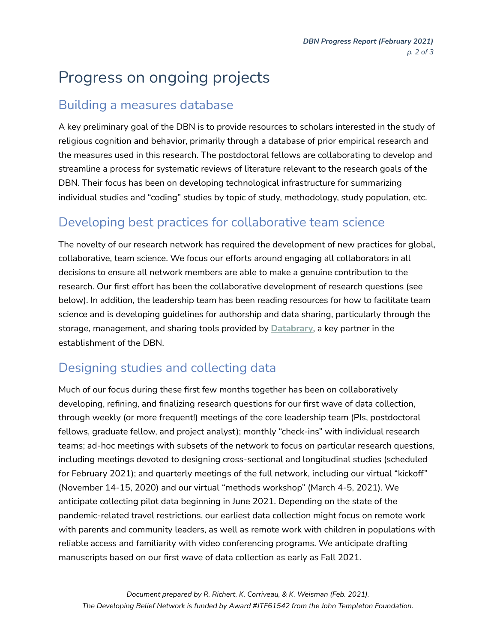# Progress on ongoing projects

#### Building a measures database

A key preliminary goal of the DBN is to provide resources to scholars interested in the study of religious cognition and behavior, primarily through a database of prior empirical research and the measures used in this research. The postdoctoral fellows are collaborating to develop and streamline a process for systematic reviews of literature relevant to the research goals of the DBN. Their focus has been on developing technological infrastructure for summarizing individual studies and "coding" studies by topic of study, methodology, study population, etc.

#### Developing best practices for collaborative team science

The novelty of our research network has required the development of new practices for global, collaborative, team science. We focus our efforts around engaging all collaborators in all decisions to ensure all network members are able to make a genuine contribution to the research. Our first effort has been the collaborative development of research questions (see below). In addition, the leadership team has been reading resources for how to facilitate team science and is developing guidelines for authorship and data sharing, particularly through the storage, management, and sharing tools provided by **[Databrary](https://databrary.org/)**, a key partner in the establishment of the DBN.

#### Designing studies and collecting data

Much of our focus during these first few months together has been on collaboratively developing, refining, and finalizing research questions for our first wave of data collection, through weekly (or more frequent!) meetings of the core leadership team (PIs, postdoctoral fellows, graduate fellow, and project analyst); monthly "check-ins" with individual research teams; ad-hoc meetings with subsets of the network to focus on particular research questions, including meetings devoted to designing cross-sectional and longitudinal studies (scheduled for February 2021); and quarterly meetings of the full network, including our virtual "kickoff" (November 14-15, 2020) and our virtual "methods workshop" (March 4-5, 2021). We anticipate collecting pilot data beginning in June 2021. Depending on the state of the pandemic-related travel restrictions, our earliest data collection might focus on remote work with parents and community leaders, as well as remote work with children in populations with reliable access and familiarity with video conferencing programs. We anticipate drafting manuscripts based on our first wave of data collection as early as Fall 2021.